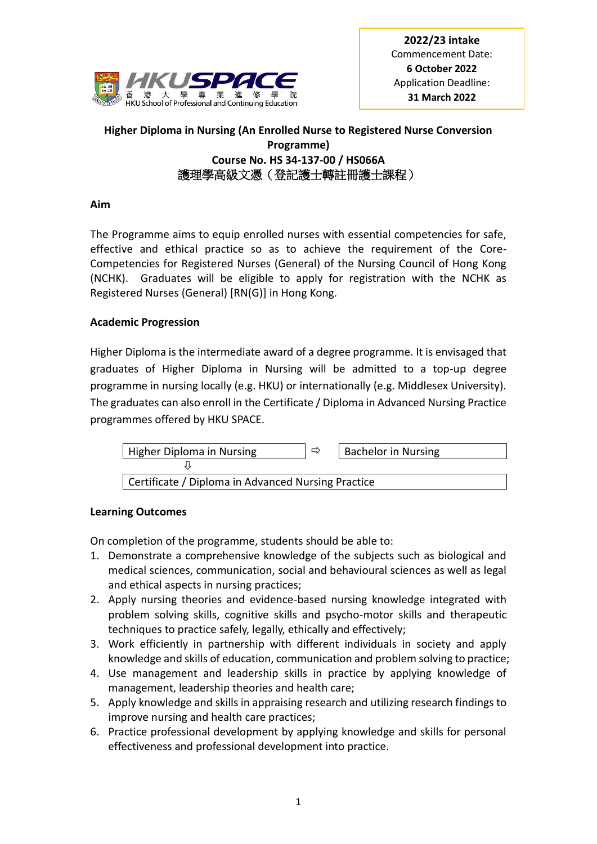

**2022/23 intake** Commencement Date: **6 October 2022** Application Deadline: **31 March 2022**

# **Higher Diploma in Nursing (An Enrolled Nurse to Registered Nurse Conversion Programme) Course No. HS 34-137-00 / HS066A** 護理學高級文憑(登記護士轉註冊護士課程)

## **Aim**

The Programme aims to equip enrolled nurses with essential competencies for safe, effective and ethical practice so as to achieve the requirement of the Core-Competencies for Registered Nurses (General) of the Nursing Council of Hong Kong (NCHK). Graduates will be eligible to apply for registration with the NCHK as Registered Nurses (General) [RN(G)] in Hong Kong.

## **Academic Progression**

Higher Diploma is the intermediate award of a degree programme. It is envisaged that graduates of Higher Diploma in Nursing will be admitted to a top-up degree programme in nursing locally (e.g. HKU) or internationally (e.g. Middlesex University). The graduates can also enroll in the Certificate / Diploma in Advanced Nursing Practice programmes offered by HKU SPACE.



## **Learning Outcomes**

On completion of the programme, students should be able to:

- 1. Demonstrate a comprehensive knowledge of the subjects such as biological and medical sciences, communication, social and behavioural sciences as well as legal and ethical aspects in nursing practices;
- 2. Apply nursing theories and evidence-based nursing knowledge integrated with problem solving skills, cognitive skills and psycho-motor skills and therapeutic techniques to practice safely, legally, ethically and effectively;
- 3. Work efficiently in partnership with different individuals in society and apply knowledge and skills of education, communication and problem solving to practice;
- 4. Use management and leadership skills in practice by applying knowledge of management, leadership theories and health care;
- 5. Apply knowledge and skills in appraising research and utilizing research findings to improve nursing and health care practices;
- 6. Practice professional development by applying knowledge and skills for personal effectiveness and professional development into practice.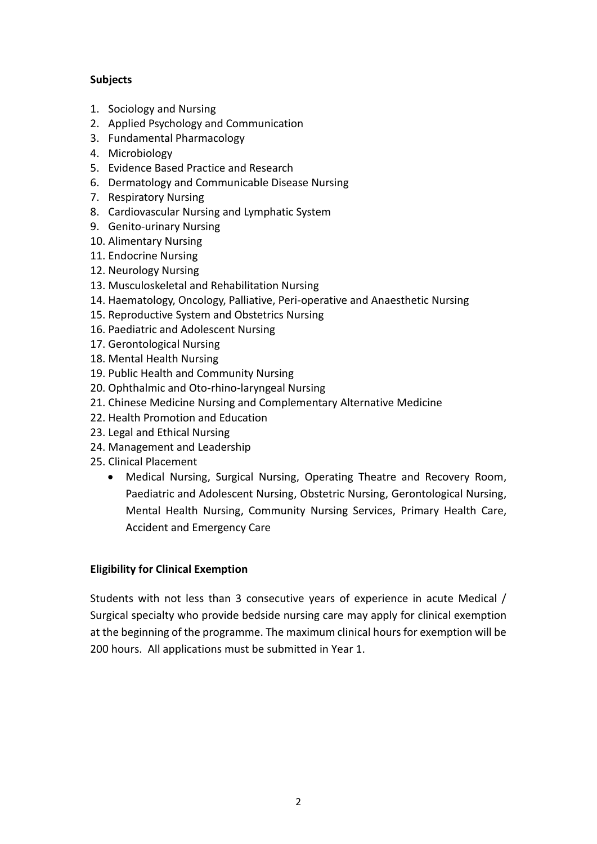# **Subjects**

- 1. Sociology and Nursing
- 2. Applied Psychology and Communication
- 3. Fundamental Pharmacology
- 4. Microbiology
- 5. Evidence Based Practice and Research
- 6. Dermatology and Communicable Disease Nursing
- 7. Respiratory Nursing
- 8. Cardiovascular Nursing and Lymphatic System
- 9. Genito-urinary Nursing
- 10. Alimentary Nursing
- 11. Endocrine Nursing
- 12. Neurology Nursing
- 13. Musculoskeletal and Rehabilitation Nursing
- 14. Haematology, Oncology, Palliative, Peri-operative and Anaesthetic Nursing
- 15. Reproductive System and Obstetrics Nursing
- 16. Paediatric and Adolescent Nursing
- 17. Gerontological Nursing
- 18. Mental Health Nursing
- 19. Public Health and Community Nursing
- 20. Ophthalmic and Oto-rhino-laryngeal Nursing
- 21. Chinese Medicine Nursing and Complementary Alternative Medicine
- 22. Health Promotion and Education
- 23. Legal and Ethical Nursing
- 24. Management and Leadership
- 25. Clinical Placement
	- Medical Nursing, Surgical Nursing, Operating Theatre and Recovery Room, Paediatric and Adolescent Nursing, Obstetric Nursing, Gerontological Nursing, Mental Health Nursing, Community Nursing Services, Primary Health Care, Accident and Emergency Care

## **Eligibility for Clinical Exemption**

Students with not less than 3 consecutive years of experience in acute Medical / Surgical specialty who provide bedside nursing care may apply for clinical exemption at the beginning of the programme. The maximum clinical hours for exemption will be 200 hours. All applications must be submitted in Year 1.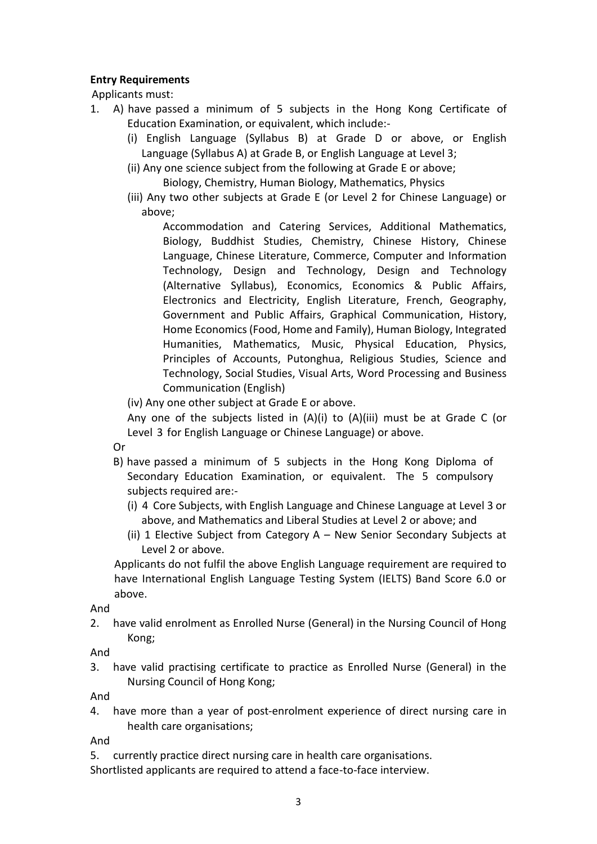## **Entry Requirements**

Applicants must:

- 1. A) have passed a minimum of 5 subjects in the Hong Kong Certificate of Education Examination, or equivalent, which include:-
	- (i) English Language (Syllabus B) at Grade D or above, or English Language (Syllabus A) at Grade B, or English Language at Level 3;
	- (ii) Any one science subject from the following at Grade E or above;

Biology, Chemistry, Human Biology, Mathematics, Physics

(iii) Any two other subjects at Grade E (or Level 2 for Chinese Language) or above;

Accommodation and Catering Services, Additional Mathematics, Biology, Buddhist Studies, Chemistry, Chinese History, Chinese Language, Chinese Literature, Commerce, Computer and Information Technology, Design and Technology, Design and Technology (Alternative Syllabus), Economics, Economics & Public Affairs, Electronics and Electricity, English Literature, French, Geography, Government and Public Affairs, Graphical Communication, History, Home Economics (Food, Home and Family), Human Biology, Integrated Humanities, Mathematics, Music, Physical Education, Physics, Principles of Accounts, Putonghua, Religious Studies, Science and Technology, Social Studies, Visual Arts, Word Processing and Business Communication (English)

(iv) Any one other subject at Grade E or above.

Any one of the subjects listed in (A)(i) to (A)(iii) must be at Grade C (or Level 3 for English Language or Chinese Language) or above.

Or

- B) have passed a minimum of 5 subjects in the Hong Kong Diploma of Secondary Education Examination, or equivalent. The 5 compulsory subjects required are:-
	- (i) 4 Core Subjects, with English Language and Chinese Language at Level 3 or above, and Mathematics and Liberal Studies at Level 2 or above; and
	- (ii) 1 Elective Subject from Category A New Senior Secondary Subjects at Level 2 or above.

Applicants do not fulfil the above English Language requirement are required to have International English Language Testing System (IELTS) Band Score 6.0 or above.

And

2. have valid enrolment as Enrolled Nurse (General) in the Nursing Council of Hong Kong;

And

3. have valid practising certificate to practice as Enrolled Nurse (General) in the Nursing Council of Hong Kong;

And

4. have more than a year of post-enrolment experience of direct nursing care in health care organisations;

And

- 5. currently practice direct nursing care in health care organisations.
- Shortlisted applicants are required to attend a face-to-face interview.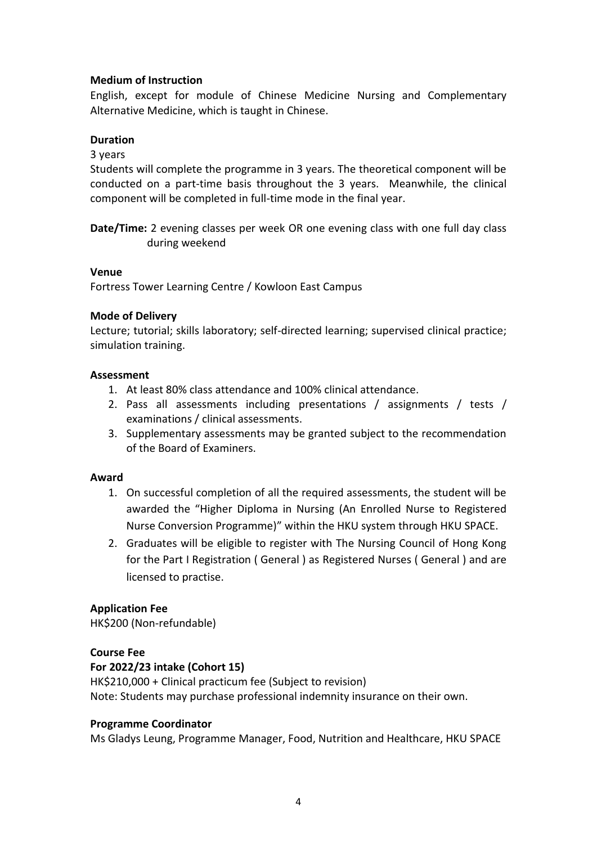## **Medium of Instruction**

English, except for module of Chinese Medicine Nursing and Complementary Alternative Medicine, which is taught in Chinese.

## **Duration**

## 3 years

Students will complete the programme in 3 years. The theoretical component will be conducted on a part-time basis throughout the 3 years. Meanwhile, the clinical component will be completed in full-time mode in the final year.

**Date/Time:** 2 evening classes per week OR one evening class with one full day class during weekend

#### **Venue**

Fortress Tower Learning Centre / Kowloon East Campus

## **Mode of Delivery**

Lecture; tutorial; skills laboratory; self-directed learning; supervised clinical practice; simulation training.

#### **Assessment**

- 1. At least 80% class attendance and 100% clinical attendance.
- 2. Pass all assessments including presentations / assignments / tests / examinations / clinical assessments.
- 3. Supplementary assessments may be granted subject to the recommendation of the Board of Examiners.

## **Award**

- 1. On successful completion of all the required assessments, the student will be awarded the "Higher Diploma in Nursing (An Enrolled Nurse to Registered Nurse Conversion Programme)" within the HKU system through HKU SPACE.
- 2. Graduates will be eligible to register with The Nursing Council of Hong Kong for the Part I Registration ( General ) as Registered Nurses ( General ) and are licensed to practise.

## **Application Fee**

HK\$200 (Non-refundable)

## **Course Fee**

## **For 2022/23 intake (Cohort 15)**

HK\$210,000 + Clinical practicum fee (Subject to revision) Note: Students may purchase professional indemnity insurance on their own.

## **Programme Coordinator**

Ms Gladys Leung, Programme Manager, Food, Nutrition and Healthcare, HKU SPACE